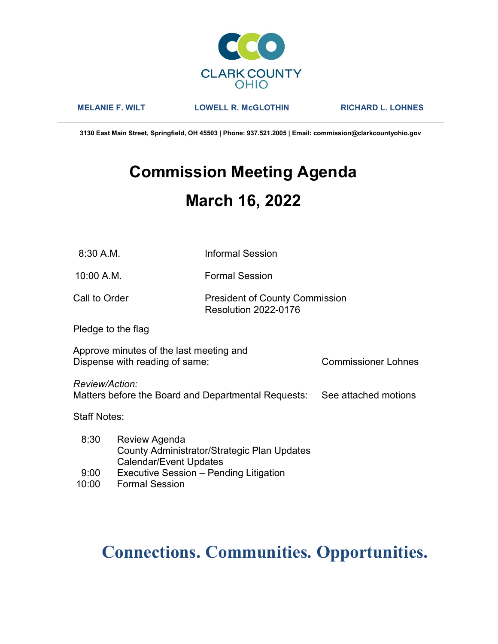

MELANIE F. WILT LOWELL R. McGLOTHIN RICHARD L. LOHNES

3130 East Main Street, Springfield, OH 45503 | Phone: 937.521.2005 | Email: commission@clarkcountyohio.gov

# Commission Meeting Agenda March 16, 2022

10:00 A.M. Formal Session

### Call to Order **President of County Commission** Resolution 2022-0176

Pledge to the flag

Approve minutes of the last meeting and Dispense with reading of same: Commissioner Lohnes

Review/Action:

Matters before the Board and Departmental Requests: See attached motions

Staff Notes:

- 8:30 Review Agenda County Administrator/Strategic Plan Updates Calendar/Event Updates
- 9:00 Executive Session Pending Litigation
- 10:00 Formal Session

## Connections. Communities. Opportunities.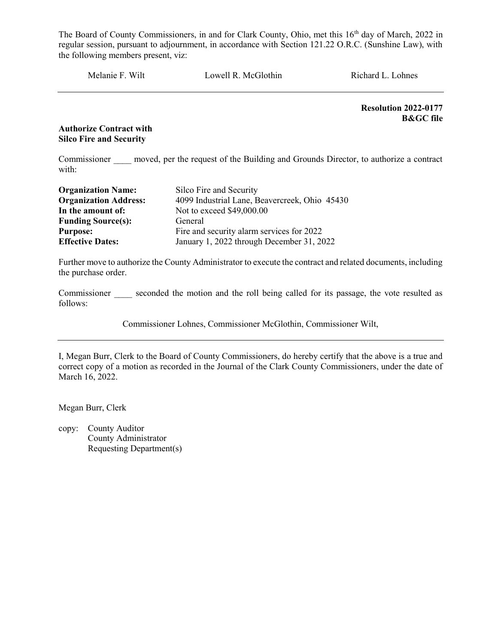Melanie F. Wilt Lowell R. McGlothin Richard L. Lohnes

Resolution 2022-0177 B&GC file

#### Authorize Contract with Silco Fire and Security

Commissioner moved, per the request of the Building and Grounds Director, to authorize a contract with:

| <b>Organization Name:</b>    | Silco Fire and Security                       |
|------------------------------|-----------------------------------------------|
| <b>Organization Address:</b> | 4099 Industrial Lane, Beavercreek, Ohio 45430 |
| In the amount of:            | Not to exceed \$49,000.00                     |
| <b>Funding Source(s):</b>    | General                                       |
| <b>Purpose:</b>              | Fire and security alarm services for 2022     |
| <b>Effective Dates:</b>      | January 1, 2022 through December 31, 2022     |

Further move to authorize the County Administrator to execute the contract and related documents, including the purchase order.

Commissioner seconded the motion and the roll being called for its passage, the vote resulted as follows:

Commissioner Lohnes, Commissioner McGlothin, Commissioner Wilt,

I, Megan Burr, Clerk to the Board of County Commissioners, do hereby certify that the above is a true and correct copy of a motion as recorded in the Journal of the Clark County Commissioners, under the date of March 16, 2022.

Megan Burr, Clerk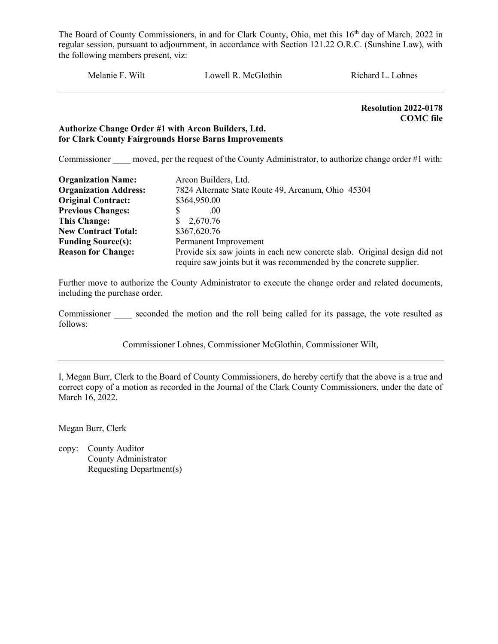Melanie F. Wilt Lowell R. McGlothin Richard L. Lohnes

 Resolution 2022-0178 COMC file

#### Authorize Change Order #1 with Arcon Builders, Ltd. for Clark County Fairgrounds Horse Barns Improvements

Commissioner moved, per the request of the County Administrator, to authorize change order #1 with:

| <b>Organization Name:</b>    | Arcon Builders, Ltd.                                                                                                                             |
|------------------------------|--------------------------------------------------------------------------------------------------------------------------------------------------|
| <b>Organization Address:</b> | 7824 Alternate State Route 49, Arcanum, Ohio 45304                                                                                               |
| <b>Original Contract:</b>    | \$364,950.00                                                                                                                                     |
| <b>Previous Changes:</b>     | (00)                                                                                                                                             |
| <b>This Change:</b>          | \$2,670.76                                                                                                                                       |
| <b>New Contract Total:</b>   | \$367,620.76                                                                                                                                     |
| <b>Funding Source(s):</b>    | Permanent Improvement                                                                                                                            |
| <b>Reason for Change:</b>    | Provide six saw joints in each new concrete slab. Original design did not<br>require saw joints but it was recommended by the concrete supplier. |

Further move to authorize the County Administrator to execute the change order and related documents, including the purchase order.

Commissioner seconded the motion and the roll being called for its passage, the vote resulted as follows:

Commissioner Lohnes, Commissioner McGlothin, Commissioner Wilt,

I, Megan Burr, Clerk to the Board of County Commissioners, do hereby certify that the above is a true and correct copy of a motion as recorded in the Journal of the Clark County Commissioners, under the date of March 16, 2022.

Megan Burr, Clerk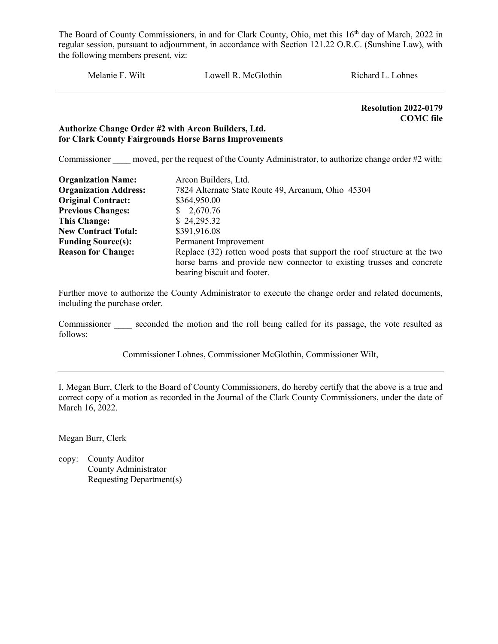Melanie F. Wilt Lowell R. McGlothin Richard L. Lohnes

 Resolution 2022-0179 COMC file

#### Authorize Change Order #2 with Arcon Builders, Ltd. for Clark County Fairgrounds Horse Barns Improvements

Commissioner moved, per the request of the County Administrator, to authorize change order #2 with:

| <b>Organization Name:</b>    | Arcon Builders, Ltd.                                                      |
|------------------------------|---------------------------------------------------------------------------|
| <b>Organization Address:</b> | 7824 Alternate State Route 49, Arcanum, Ohio 45304                        |
| <b>Original Contract:</b>    | \$364,950.00                                                              |
| <b>Previous Changes:</b>     | \$2,670.76                                                                |
| <b>This Change:</b>          | \$24,295.32                                                               |
| <b>New Contract Total:</b>   | \$391,916.08                                                              |
| <b>Funding Source(s):</b>    | Permanent Improvement                                                     |
| <b>Reason for Change:</b>    | Replace (32) rotten wood posts that support the roof structure at the two |
|                              | horse barns and provide new connector to existing trusses and concrete    |
|                              | bearing biscuit and footer.                                               |

Further move to authorize the County Administrator to execute the change order and related documents, including the purchase order.

Commissioner seconded the motion and the roll being called for its passage, the vote resulted as follows:

Commissioner Lohnes, Commissioner McGlothin, Commissioner Wilt,

I, Megan Burr, Clerk to the Board of County Commissioners, do hereby certify that the above is a true and correct copy of a motion as recorded in the Journal of the Clark County Commissioners, under the date of March 16, 2022.

Megan Burr, Clerk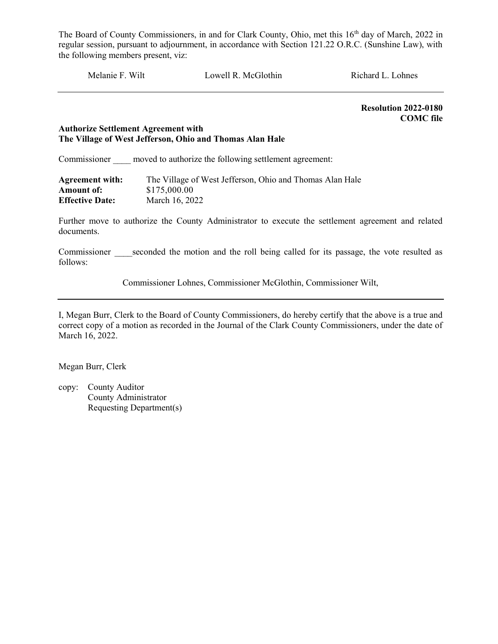Melanie F. Wilt Lowell R. McGlothin Richard L. Lohnes

 Resolution 2022-0180 COMC file

#### Authorize Settlement Agreement with The Village of West Jefferson, Ohio and Thomas Alan Hale

Commissioner moved to authorize the following settlement agreement:

| <b>Agreement with:</b> | The Village of West Jefferson, Ohio and Thomas Alan Hale |
|------------------------|----------------------------------------------------------|
| Amount of:             | \$175,000.00                                             |
| <b>Effective Date:</b> | March 16, 2022                                           |

Further move to authorize the County Administrator to execute the settlement agreement and related documents.

Commissioner seconded the motion and the roll being called for its passage, the vote resulted as follows:

Commissioner Lohnes, Commissioner McGlothin, Commissioner Wilt,

I, Megan Burr, Clerk to the Board of County Commissioners, do hereby certify that the above is a true and correct copy of a motion as recorded in the Journal of the Clark County Commissioners, under the date of March 16, 2022.

Megan Burr, Clerk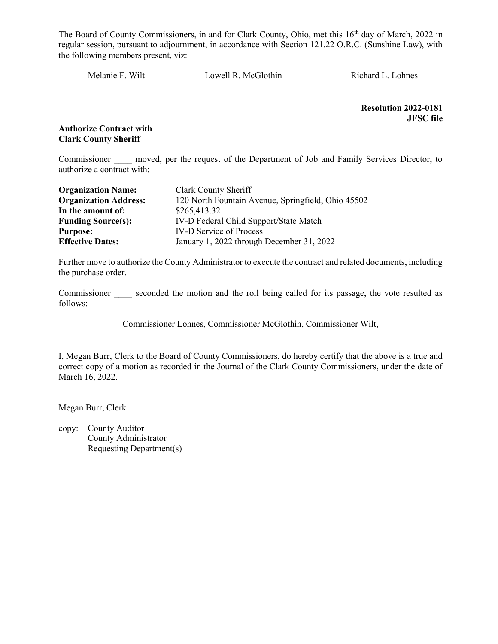Melanie F. Wilt Lowell R. McGlothin Richard L. Lohnes

Resolution 2022-0181 JFSC file

Authorize Contract with Clark County Sheriff

Commissioner moved, per the request of the Department of Job and Family Services Director, to authorize a contract with:

| <b>Organization Name:</b>    | Clark County Sheriff                               |
|------------------------------|----------------------------------------------------|
| <b>Organization Address:</b> | 120 North Fountain Avenue, Springfield, Ohio 45502 |
| In the amount of:            | \$265,413.32                                       |
| <b>Funding Source(s):</b>    | IV-D Federal Child Support/State Match             |
| <b>Purpose:</b>              | <b>IV-D Service of Process</b>                     |
| <b>Effective Dates:</b>      | January 1, 2022 through December 31, 2022          |

Further move to authorize the County Administrator to execute the contract and related documents, including the purchase order.

Commissioner seconded the motion and the roll being called for its passage, the vote resulted as follows:

Commissioner Lohnes, Commissioner McGlothin, Commissioner Wilt,

I, Megan Burr, Clerk to the Board of County Commissioners, do hereby certify that the above is a true and correct copy of a motion as recorded in the Journal of the Clark County Commissioners, under the date of March 16, 2022.

Megan Burr, Clerk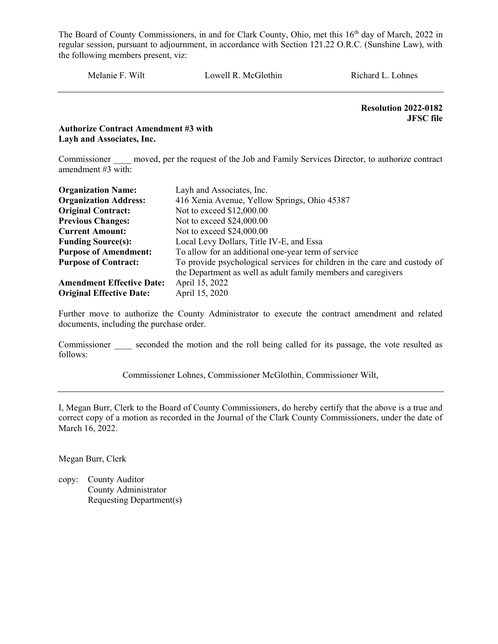Melanie F. Wilt Lowell R. McGlothin Richard L. Lohnes

 Resolution 2022-0182 JFSC file

Authorize Contract Amendment #3 with Layh and Associates, Inc.

Commissioner \_\_\_\_ moved, per the request of the Job and Family Services Director, to authorize contract amendment #3 with:

| <b>Organization Name:</b>        | Layh and Associates, Inc.                                                 |
|----------------------------------|---------------------------------------------------------------------------|
| <b>Organization Address:</b>     | 416 Xenia Avenue, Yellow Springs, Ohio 45387                              |
| <b>Original Contract:</b>        | Not to exceed \$12,000.00                                                 |
| <b>Previous Changes:</b>         | Not to exceed \$24,000.00                                                 |
| <b>Current Amount:</b>           | Not to exceed \$24,000.00                                                 |
| <b>Funding Source(s):</b>        | Local Levy Dollars, Title IV-E, and Essa                                  |
| <b>Purpose of Amendment:</b>     | To allow for an additional one-year term of service                       |
| <b>Purpose of Contract:</b>      | To provide psychological services for children in the care and custody of |
|                                  | the Department as well as adult family members and caregivers             |
| <b>Amendment Effective Date:</b> | April 15, 2022                                                            |
| <b>Original Effective Date:</b>  | April 15, 2020                                                            |

Further move to authorize the County Administrator to execute the contract amendment and related documents, including the purchase order.

Commissioner seconded the motion and the roll being called for its passage, the vote resulted as follows:

Commissioner Lohnes, Commissioner McGlothin, Commissioner Wilt,

I, Megan Burr, Clerk to the Board of County Commissioners, do hereby certify that the above is a true and correct copy of a motion as recorded in the Journal of the Clark County Commissioners, under the date of March 16, 2022.

Megan Burr, Clerk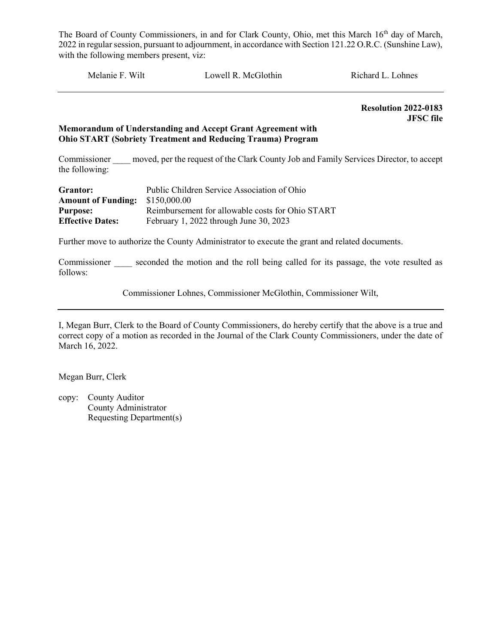Melanie F. Wilt Lowell R. McGlothin Richard L. Lohnes

 Resolution 2022-0183 JFSC file

#### Memorandum of Understanding and Accept Grant Agreement with Ohio START (Sobriety Treatment and Reducing Trauma) Program

Commissioner moved, per the request of the Clark County Job and Family Services Director, to accept the following:

| Grantor:                  | Public Children Service Association of Ohio      |
|---------------------------|--------------------------------------------------|
| <b>Amount of Funding:</b> | \$150,000.00                                     |
| <b>Purpose:</b>           | Reimbursement for allowable costs for Ohio START |
| <b>Effective Dates:</b>   | February 1, 2022 through June 30, 2023           |

Further move to authorize the County Administrator to execute the grant and related documents.

Commissioner seconded the motion and the roll being called for its passage, the vote resulted as follows:

Commissioner Lohnes, Commissioner McGlothin, Commissioner Wilt,

I, Megan Burr, Clerk to the Board of County Commissioners, do hereby certify that the above is a true and correct copy of a motion as recorded in the Journal of the Clark County Commissioners, under the date of March 16, 2022.

Megan Burr, Clerk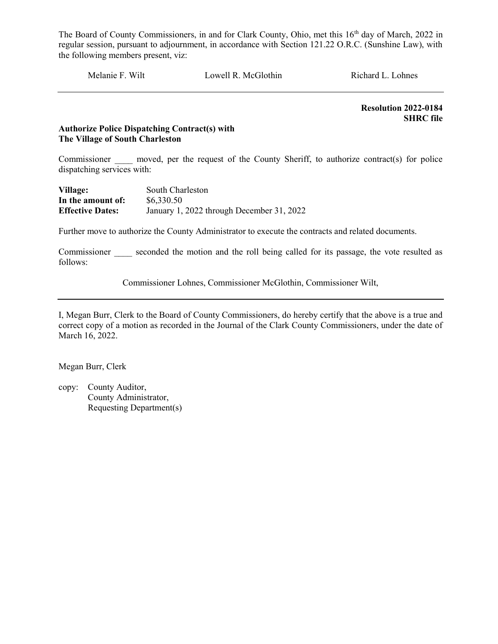Melanie F. Wilt Lowell R. McGlothin Richard L. Lohnes

 Resolution 2022-0184 SHRC file

#### Authorize Police Dispatching Contract(s) with The Village of South Charleston

Commissioner moved, per the request of the County Sheriff, to authorize contract(s) for police dispatching services with:

| Village:                | South Charleston                          |
|-------------------------|-------------------------------------------|
| In the amount of:       | \$6,330.50                                |
| <b>Effective Dates:</b> | January 1, 2022 through December 31, 2022 |

Further move to authorize the County Administrator to execute the contracts and related documents.

Commissioner seconded the motion and the roll being called for its passage, the vote resulted as follows:

Commissioner Lohnes, Commissioner McGlothin, Commissioner Wilt,

I, Megan Burr, Clerk to the Board of County Commissioners, do hereby certify that the above is a true and correct copy of a motion as recorded in the Journal of the Clark County Commissioners, under the date of March 16, 2022.

Megan Burr, Clerk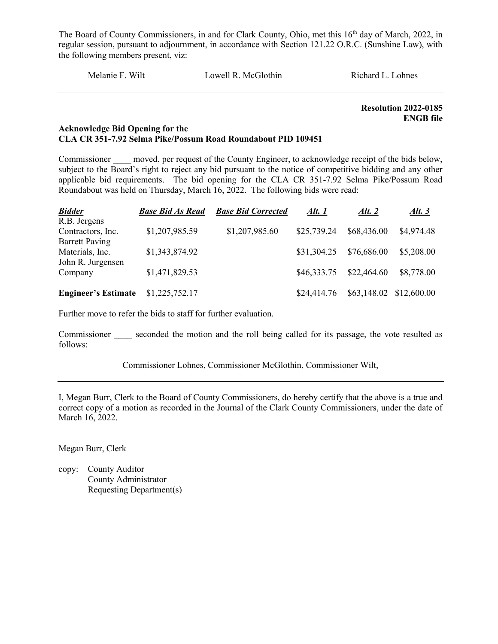Melanie F. Wilt Lowell R. McGlothin Richard L. Lohnes

Resolution 2022-0185 ENGB file

#### Acknowledge Bid Opening for the CLA CR 351-7.92 Selma Pike/Possum Road Roundabout PID 109451

Commissioner moved, per request of the County Engineer, to acknowledge receipt of the bids below, subject to the Board's right to reject any bid pursuant to the notice of competitive bidding and any other applicable bid requirements. The bid opening for the CLA CR 351-7.92 Selma Pike/Possum Road Roundabout was held on Thursday, March 16, 2022. The following bids were read:

| <b>Bidder</b>              | <b>Base Bid As Read</b> | <b>Base Bid Corrected</b> | Alt. 1      | Alt. $2$    | Alt. $3$                |
|----------------------------|-------------------------|---------------------------|-------------|-------------|-------------------------|
| R.B. Jergens               |                         |                           |             |             |                         |
| Contractors, Inc.          | \$1,207,985.59          | \$1,207,985.60            | \$25,739.24 | \$68,436.00 | \$4,974.48              |
| <b>Barrett Paving</b>      |                         |                           |             |             |                         |
| Materials, Inc.            | \$1,343,874.92          |                           | \$31,304.25 | \$76,686.00 | \$5,208.00              |
| John R. Jurgensen          |                         |                           |             |             |                         |
| Company                    | \$1,471,829.53          |                           | \$46,333.75 | \$22,464.60 | \$8,778.00              |
|                            |                         |                           |             |             |                         |
| <b>Engineer's Estimate</b> | \$1,225,752.17          |                           | \$24,414.76 |             | \$63,148.02 \$12,600.00 |

Further move to refer the bids to staff for further evaluation.

Commissioner seconded the motion and the roll being called for its passage, the vote resulted as follows:

Commissioner Lohnes, Commissioner McGlothin, Commissioner Wilt,

I, Megan Burr, Clerk to the Board of County Commissioners, do hereby certify that the above is a true and correct copy of a motion as recorded in the Journal of the Clark County Commissioners, under the date of March 16, 2022.

Megan Burr, Clerk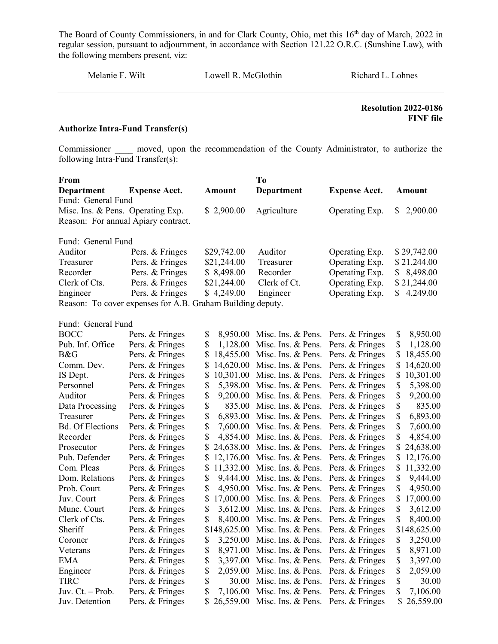Melanie F. Wilt Lowell R. McGlothin Richard L. Lohnes

 Resolution 2022-0186 FINF file

#### Authorize Intra-Fund Transfer(s)

Commissioner and moved, upon the recommendation of the County Administrator, to authorize the following Intra-Fund Transfer(s):

| From                                |                                                            |                 | To                 |                      |                 |
|-------------------------------------|------------------------------------------------------------|-----------------|--------------------|----------------------|-----------------|
| <b>Department</b>                   | <b>Expense Acct.</b>                                       | <b>Amount</b>   | Department         | <b>Expense Acct.</b> | <b>Amount</b>   |
| Fund: General Fund                  |                                                            |                 |                    |                      |                 |
| Misc. Ins. & Pens. Operating Exp.   |                                                            | \$2,900.00      | Agriculture        | Operating Exp.       | 2,900.00<br>\$. |
| Reason: For annual Apiary contract. |                                                            |                 |                    |                      |                 |
|                                     |                                                            |                 |                    |                      |                 |
| Fund: General Fund                  |                                                            |                 |                    |                      |                 |
| Auditor                             | Pers. & Fringes                                            | \$29,742.00     | Auditor            | Operating Exp.       | \$29,742.00     |
| Treasurer                           | Pers. & Fringes                                            | \$21,244.00     | Treasurer          | Operating Exp.       | \$21,244.00     |
| Recorder                            | Pers. & Fringes                                            | \$8,498.00      | Recorder           | Operating Exp.       | 8,498.00<br>S   |
| Clerk of Cts.                       | Pers. & Fringes                                            | \$21,244.00     | Clerk of Ct.       | Operating Exp.       | \$21,244.00     |
| Engineer                            | Pers. & Fringes                                            | \$4,249.00      | Engineer           | Operating Exp.       | \$<br>4,249.00  |
|                                     | Reason: To cover expenses for A.B. Graham Building deputy. |                 |                    |                      |                 |
|                                     |                                                            |                 |                    |                      |                 |
| Fund: General Fund                  |                                                            |                 |                    |                      |                 |
| <b>BOCC</b>                         | Pers. & Fringes                                            | \$<br>8,950.00  | Misc. Ins. & Pens. | Pers. & Fringes      | \$<br>8,950.00  |
| Pub. Inf. Office                    | Pers. & Fringes                                            | \$<br>1,128.00  | Misc. Ins. & Pens. | Pers. & Fringes      | \$<br>1,128.00  |
| B&G                                 | Pers. & Fringes                                            | \$<br>18,455.00 | Misc. Ins. & Pens. | Pers. & Fringes      | \$<br>18,455.00 |
| Comm. Dev.                          | Pers. & Fringes                                            | \$<br>14,620.00 | Misc. Ins. & Pens. | Pers. & Fringes      | \$<br>14,620.00 |
| IS Dept.                            | Pers. & Fringes                                            | \$<br>10,301.00 | Misc. Ins. & Pens. | Pers. & Fringes      | \$<br>10,301.00 |
| Personnel                           | Pers. & Fringes                                            | \$<br>5,398.00  | Misc. Ins. & Pens. | Pers. & Fringes      | \$<br>5,398.00  |
| Auditor                             | Pers. & Fringes                                            | \$<br>9,200.00  | Misc. Ins. & Pens. | Pers. & Fringes      | \$<br>9,200.00  |
| Data Processing                     | Pers. & Fringes                                            | \$<br>835.00    | Misc. Ins. & Pens. | Pers. & Fringes      | \$<br>835.00    |
| Treasurer                           | Pers. & Fringes                                            | \$<br>6,893.00  | Misc. Ins. & Pens. | Pers. & Fringes      | \$<br>6,893.00  |
| <b>Bd.</b> Of Elections             | Pers. & Fringes                                            | \$<br>7,600.00  | Misc. Ins. & Pens. | Pers. & Fringes      | \$<br>7,600.00  |
| Recorder                            | Pers. & Fringes                                            | \$<br>4,854.00  | Misc. Ins. & Pens. | Pers. & Fringes      | \$<br>4,854.00  |
| Prosecutor                          | Pers. & Fringes                                            | 24,638.00       | Misc. Ins. & Pens. | Pers. & Fringes      | \$<br>24,638.00 |
| Pub. Defender                       | Pers. & Fringes                                            | \$<br>12,176.00 | Misc. Ins. & Pens. | Pers. & Fringes      | \$<br>12,176.00 |
| Com. Pleas                          | Pers. & Fringes                                            | \$<br>11,332.00 | Misc. Ins. & Pens. | Pers. & Fringes      | \$<br>11,332.00 |
| Dom. Relations                      | Pers. & Fringes                                            | \$<br>9,444.00  | Misc. Ins. & Pens. | Pers. & Fringes      | \$<br>9,444.00  |
| Prob. Court                         | Pers. & Fringes                                            | \$<br>4,950.00  | Misc. Ins. & Pens. | Pers. & Fringes      | \$<br>4,950.00  |
| Juv. Court                          | Pers. & Fringes                                            | \$<br>17,000.00 | Misc. Ins. & Pens. | Pers. & Fringes      | \$<br>17,000.00 |
| Munc. Court                         | Pers. & Fringes                                            | \$<br>3,612.00  | Misc. Ins. & Pens. | Pers. & Fringes      | \$<br>3,612.00  |
| Clerk of Cts.                       | Pers. & Fringes                                            | \$<br>8,400.00  | Misc. Ins. & Pens. | Pers. & Fringes      | \$<br>8,400.00  |
| Sheriff                             | Pers. & Fringes                                            | \$148,625.00    | Misc. Ins. & Pens. | Pers. & Fringes      | \$148,625.00    |
| Coroner                             | Pers. & Fringes                                            | \$<br>3,250.00  | Misc. Ins. & Pens. | Pers. & Fringes      | \$<br>3,250.00  |

Veterans Pers. & Fringes \$ 8,971.00 Misc. Ins. & Pens. Pers. & Fringes \$ 8,971.00 EMA Pers. & Fringes \$ 3,397.00 Misc. Ins. & Pens. Pers. & Fringes \$ 3,397.00 Engineer Pers. & Fringes \$ 2,059.00 Misc. Ins. & Pens. Pers. & Fringes \$ 2,059.00 TIRC Pers. & Fringes  $\frac{1}{2}$  30.00 Misc. Ins. & Pens. Pers. & Fringes  $\frac{1}{2}$  30.00 Juv. Ct. – Prob. Pers. & Fringes  $\frac{1}{2}$ , 7,106.00 Misc. Ins. & Pens. Pers. & Fringes  $\frac{1}{2}$ , 7,106.00 Juv. Detention Pers. & Fringes \$ 26,559.00 Misc. Ins. & Pens. Pers. & Fringes \$ 26,559.00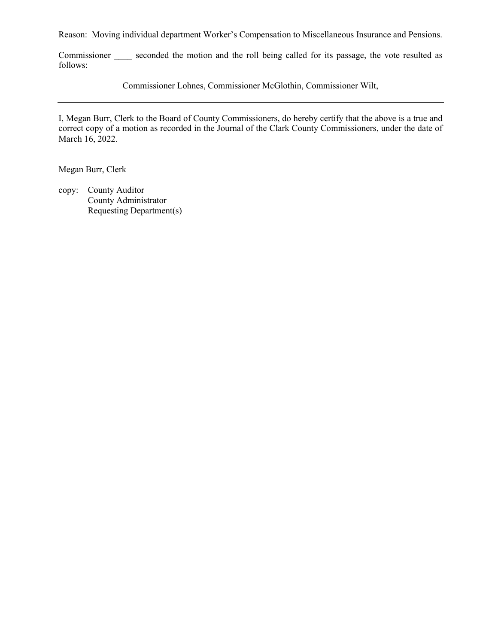Reason: Moving individual department Worker's Compensation to Miscellaneous Insurance and Pensions.

Commissioner seconded the motion and the roll being called for its passage, the vote resulted as follows:

Commissioner Lohnes, Commissioner McGlothin, Commissioner Wilt,

I, Megan Burr, Clerk to the Board of County Commissioners, do hereby certify that the above is a true and correct copy of a motion as recorded in the Journal of the Clark County Commissioners, under the date of March 16, 2022.

Megan Burr, Clerk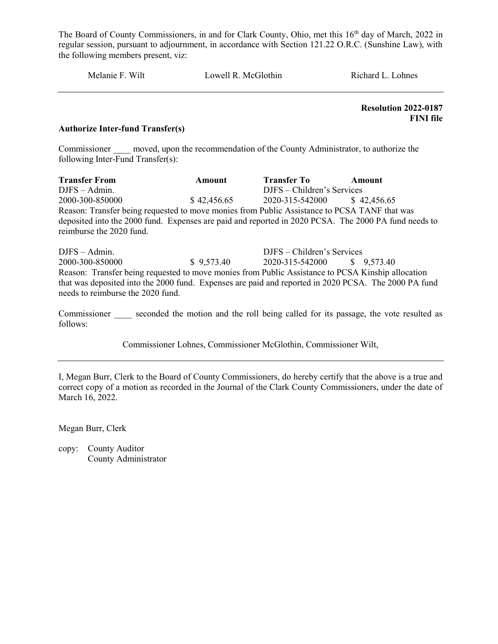Melanie F. Wilt **Lowell R. McGlothin** Richard L. Lohnes

 Resolution 2022-0187 FINI file

#### Authorize Inter-fund Transfer(s)

Commissioner moved, upon the recommendation of the County Administrator, to authorize the following Inter-Fund Transfer(s):

Transfer From Amount Transfer To Amount DJFS – Admin. DJFS – Children's Services 2000-300-850000 \$ 42,456.65 2020-315-542000 \$ 42,456.65 Reason: Transfer being requested to move monies from Public Assistance to PCSA TANF that was deposited into the 2000 fund. Expenses are paid and reported in 2020 PCSA. The 2000 PA fund needs to reimburse the 2020 fund.

DJFS – Admin. DJFS – Children's Services 2000-300-850000 \$ 9,573.40 2020-315-542000 \$ 9,573.40 Reason: Transfer being requested to move monies from Public Assistance to PCSA Kinship allocation that was deposited into the 2000 fund. Expenses are paid and reported in 2020 PCSA. The 2000 PA fund needs to reimburse the 2020 fund.

Commissioner seconded the motion and the roll being called for its passage, the vote resulted as follows:

Commissioner Lohnes, Commissioner McGlothin, Commissioner Wilt,

I, Megan Burr, Clerk to the Board of County Commissioners, do hereby certify that the above is a true and correct copy of a motion as recorded in the Journal of the Clark County Commissioners, under the date of March 16, 2022.

Megan Burr, Clerk

copy: County Auditor County Administrator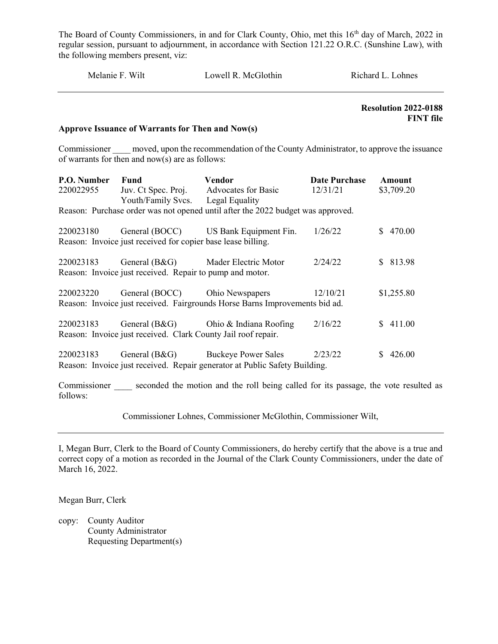| Richard L. Lohnes                               | Lowell R. McGlothin | Melanie F. Wilt |
|-------------------------------------------------|---------------------|-----------------|
| <b>Resolution 2022-0188</b><br><b>FINT</b> file |                     |                 |

#### Approve Issuance of Warrants for Then and Now(s)

Commissioner moved, upon the recommendation of the County Administrator, to approve the issuance of warrants for then and now(s) are as follows:

| P.O. Number   | Fund                                                          | Vendor                                                                                                                      | <b>Date Purchase</b> | Amount     |
|---------------|---------------------------------------------------------------|-----------------------------------------------------------------------------------------------------------------------------|----------------------|------------|
| 220022955     | Juv. Ct Spec. Proj. Advocates for Basic                       |                                                                                                                             | 12/31/21             | \$3,709.20 |
|               | Youth/Family Svcs. Legal Equality                             |                                                                                                                             |                      |            |
|               |                                                               | Reason: Purchase order was not opened until after the 2022 budget was approved.                                             |                      |            |
| 220023180     |                                                               | General (BOCC) US Bank Equipment Fin.                                                                                       | 1/26/22              | \$470.00   |
|               | Reason: Invoice just received for copier base lease billing.  |                                                                                                                             |                      |            |
| 220023183     | General (B&G) Mader Electric Motor                            |                                                                                                                             | 2/24/22              | \$813.98   |
|               | Reason: Invoice just received. Repair to pump and motor.      |                                                                                                                             |                      |            |
| 220023220     | General (BOCC) Ohio Newspapers                                |                                                                                                                             | 12/10/21             | \$1,255.80 |
|               |                                                               | Reason: Invoice just received. Fairgrounds Horse Barns Improvements bid ad.                                                 |                      |            |
| 220023183     |                                                               | General (B&G) Ohio & Indiana Roofing                                                                                        | 2/16/22              | \$411.00   |
|               | Reason: Invoice just received. Clark County Jail roof repair. |                                                                                                                             |                      |            |
| 220023183     | General (B&G) Buckeye Power Sales                             |                                                                                                                             | 2/23/22              | \$426.00   |
|               |                                                               | Reason: Invoice just received. Repair generator at Public Safety Building.                                                  |                      |            |
| $\sim$ $\sim$ |                                                               | . The component of the computer section of the contribution of the figure two components of the components of $\mathcal{A}$ |                      |            |

Commissioner seconded the motion and the roll being called for its passage, the vote resulted as follows:

Commissioner Lohnes, Commissioner McGlothin, Commissioner Wilt,

I, Megan Burr, Clerk to the Board of County Commissioners, do hereby certify that the above is a true and correct copy of a motion as recorded in the Journal of the Clark County Commissioners, under the date of March 16, 2022.

Megan Burr, Clerk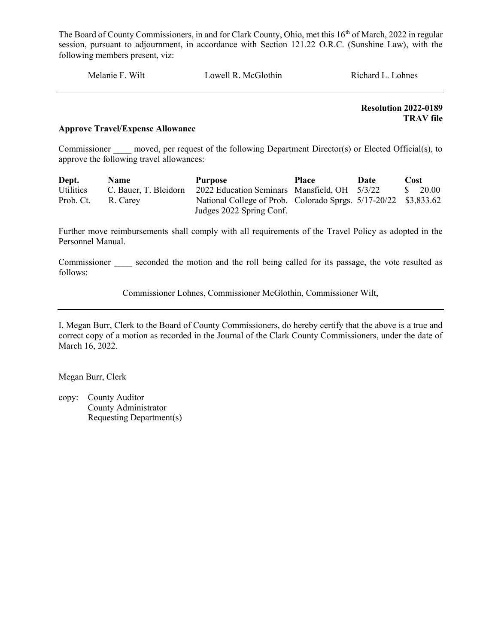Melanie F. Wilt Lowell R. McGlothin Richard L. Lohnes

 Resolution 2022-0189 TRAV file

#### Approve Travel/Expense Allowance

Commissioner moved, per request of the following Department Director(s) or Elected Official(s), to approve the following travel allowances:

| Dept.     | <b>Name</b>           | <b>Purpose</b>                                                  | <b>Place</b> | Date | Cost                            |
|-----------|-----------------------|-----------------------------------------------------------------|--------------|------|---------------------------------|
| Utilities | C. Bauer, T. Bleidorn | 2022 Education Seminars Mansfield, OH 5/3/22                    |              |      | $\frac{\text{S}}{\text{20.00}}$ |
| Prob. Ct. | R. Carey              | National College of Prob. Colorado Sprgs. 5/17-20/22 \$3,833.62 |              |      |                                 |
|           |                       | Judges 2022 Spring Conf.                                        |              |      |                                 |

Further move reimbursements shall comply with all requirements of the Travel Policy as adopted in the Personnel Manual.

Commissioner seconded the motion and the roll being called for its passage, the vote resulted as follows:

Commissioner Lohnes, Commissioner McGlothin, Commissioner Wilt,

I, Megan Burr, Clerk to the Board of County Commissioners, do hereby certify that the above is a true and correct copy of a motion as recorded in the Journal of the Clark County Commissioners, under the date of March 16, 2022.

Megan Burr, Clerk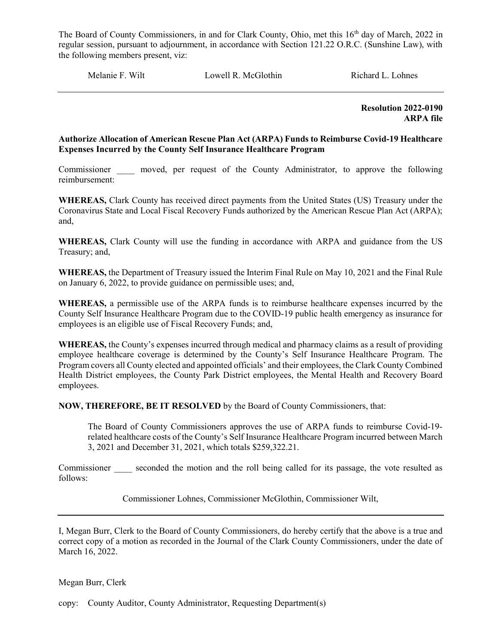Melanie F. Wilt **Lowell R. McGlothin** Richard L. Lohnes

 Resolution 2022-0190 ARPA file

#### Authorize Allocation of American Rescue Plan Act (ARPA) Funds to Reimburse Covid-19 Healthcare Expenses Incurred by the County Self Insurance Healthcare Program

Commissioner moved, per request of the County Administrator, to approve the following reimbursement:

WHEREAS, Clark County has received direct payments from the United States (US) Treasury under the Coronavirus State and Local Fiscal Recovery Funds authorized by the American Rescue Plan Act (ARPA); and,

WHEREAS, Clark County will use the funding in accordance with ARPA and guidance from the US Treasury; and,

WHEREAS, the Department of Treasury issued the Interim Final Rule on May 10, 2021 and the Final Rule on January 6, 2022, to provide guidance on permissible uses; and,

WHEREAS, a permissible use of the ARPA funds is to reimburse healthcare expenses incurred by the County Self Insurance Healthcare Program due to the COVID-19 public health emergency as insurance for employees is an eligible use of Fiscal Recovery Funds; and,

WHEREAS, the County's expenses incurred through medical and pharmacy claims as a result of providing employee healthcare coverage is determined by the County's Self Insurance Healthcare Program. The Program covers all County elected and appointed officials' and their employees, the Clark County Combined Health District employees, the County Park District employees, the Mental Health and Recovery Board employees.

NOW, THEREFORE, BE IT RESOLVED by the Board of County Commissioners, that:

The Board of County Commissioners approves the use of ARPA funds to reimburse Covid-19 related healthcare costs of the County's Self Insurance Healthcare Program incurred between March 3, 2021 and December 31, 2021, which totals \$259,322.21.

Commissioner seconded the motion and the roll being called for its passage, the vote resulted as follows:

Commissioner Lohnes, Commissioner McGlothin, Commissioner Wilt,

I, Megan Burr, Clerk to the Board of County Commissioners, do hereby certify that the above is a true and correct copy of a motion as recorded in the Journal of the Clark County Commissioners, under the date of March 16, 2022.

Megan Burr, Clerk